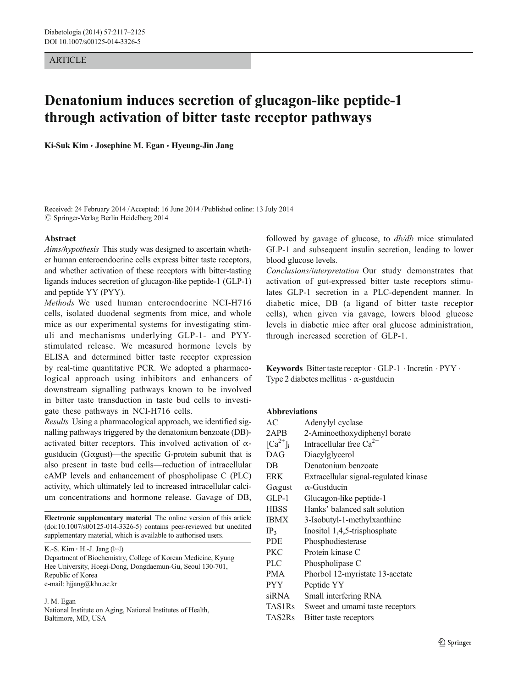# **ARTICLE**

# Denatonium induces secretion of glucagon-like peptide-1 through activation of bitter taste receptor pathways

Ki-Suk Kim · Josephine M. Egan · Hyeung-Jin Jang

Received: 24 February 2014 /Accepted: 16 June 2014 /Published online: 13 July 2014  $\oslash$  Springer-Verlag Berlin Heidelberg 2014

## Abstract

Aims/hypothesis This study was designed to ascertain whether human enteroendocrine cells express bitter taste receptors, and whether activation of these receptors with bitter-tasting ligands induces secretion of glucagon-like peptide-1 (GLP-1) and peptide YY (PYY).

Methods We used human enteroendocrine NCI-H716 cells, isolated duodenal segments from mice, and whole mice as our experimental systems for investigating stimuli and mechanisms underlying GLP-1- and PYYstimulated release. We measured hormone levels by ELISA and determined bitter taste receptor expression by real-time quantitative PCR. We adopted a pharmacological approach using inhibitors and enhancers of downstream signalling pathways known to be involved in bitter taste transduction in taste bud cells to investigate these pathways in NCI-H716 cells.

Results Using a pharmacological approach, we identified signalling pathways triggered by the denatonium benzoate (DB) activated bitter receptors. This involved activation of  $\alpha$ gustducin (Gαgust)—the specific G-protein subunit that is also present in taste bud cells—reduction of intracellular cAMP levels and enhancement of phospholipase C (PLC) activity, which ultimately led to increased intracellular calcium concentrations and hormone release. Gavage of DB,

Electronic supplementary material The online version of this article (doi[:10.1007/s00125-014-3326-5](http://dx.doi.org/10.1007/s00125-014-3326-5)) contains peer-reviewed but unedited supplementary material, which is available to authorised users.

K.-S. Kim  $\cdot$  H.-J. Jang ( $\boxtimes$ )

Department of Biochemistry, College of Korean Medicine, Kyung Hee University, Hoegi-Dong, Dongdaemun-Gu, Seoul 130-701, Republic of Korea e-mail: hjjang@khu.ac.kr

J. M. Egan

National Institute on Aging, National Institutes of Health, Baltimore, MD, USA

followed by gavage of glucose, to  $db/db$  mice stimulated GLP-1 and subsequent insulin secretion, leading to lower blood glucose levels.

Conclusions/interpretation Our study demonstrates that activation of gut-expressed bitter taste receptors stimulates GLP-1 secretion in a PLC-dependent manner. In diabetic mice, DB (a ligand of bitter taste receptor cells), when given via gavage, lowers blood glucose levels in diabetic mice after oral glucose administration, through increased secretion of GLP-1.

Keywords Bitter taste receptor . GLP-1 . Incretin . PYY . Type 2 diabetes mellitus  $\cdot \alpha$ -gustducin

## Abbreviations

| AC                      | Adenylyl cyclase                      |  |
|-------------------------|---------------------------------------|--|
| 2APB                    | 2-Aminoethoxydiphenyl borate          |  |
| $\lceil Ca^{2+} \rceil$ | Intracellular free $Ca^{2+}$          |  |
| DAG                     | Diacylglycerol                        |  |
| DB                      | Denatonium benzoate                   |  |
| <b>ERK</b>              | Extracellular signal-regulated kinase |  |
| $G\alpha$ gust          | $\alpha$ -Gustducin                   |  |
| $GLP-1$                 | Glucagon-like peptide-1               |  |
| <b>HBSS</b>             | Hanks' balanced salt solution         |  |
| <b>IBMX</b>             | 3-Isobutyl-1-methylxanthine           |  |
| IP <sub>3</sub>         | Inositol 1,4,5-trisphosphate          |  |
| <b>PDE</b>              | Phosphodiesterase                     |  |
| <b>PKC</b>              | Protein kinase C                      |  |
| <b>PLC</b>              | Phospholipase C                       |  |
| <b>PMA</b>              | Phorbol 12-myristate 13-acetate       |  |
| <b>PYY</b>              | Peptide YY                            |  |
| siRNA                   | Small interfering RNA                 |  |
| <b>TAS1Rs</b>           | Sweet and umami taste receptors       |  |
| TAS2Rs                  | Bitter taste receptors                |  |
|                         |                                       |  |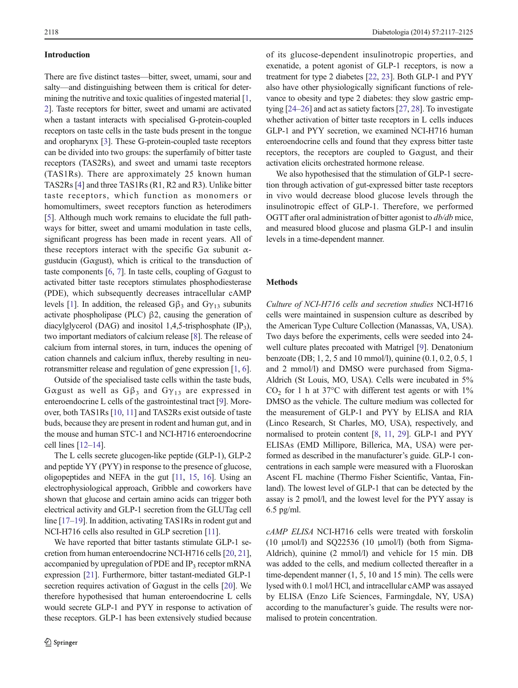## Introduction

There are five distinct tastes—bitter, sweet, umami, sour and salty—and distinguishing between them is critical for determining the nutritive and toxic qualities of ingested material [[1,](#page-7-0) [2\]](#page-7-0). Taste receptors for bitter, sweet and umami are activated when a tastant interacts with specialised G-protein-coupled receptors on taste cells in the taste buds present in the tongue and oropharynx [\[3](#page-7-0)]. These G-protein-coupled taste receptors can be divided into two groups: the superfamily of bitter taste receptors (TAS2Rs), and sweet and umami taste receptors (TAS1Rs). There are approximately 25 known human TAS2Rs [\[4](#page-7-0)] and three TAS1Rs (R1, R2 and R3). Unlike bitter taste receptors, which function as monomers or homomultimers, sweet receptors function as heterodimers [\[5](#page-7-0)]. Although much work remains to elucidate the full pathways for bitter, sweet and umami modulation in taste cells, significant progress has been made in recent years. All of these receptors interact with the specific  $G\alpha$  subunit  $\alpha$ gustducin (Gαgust), which is critical to the transduction of taste components [\[6](#page-7-0), [7](#page-7-0)]. In taste cells, coupling of Gαgust to activated bitter taste receptors stimulates phosphodiesterase (PDE), which subsequently decreases intracellular cAMP levels [\[1](#page-7-0)]. In addition, the released  $G\beta_3$  and  $G\gamma_{13}$  subunits activate phospholipase (PLC) β2, causing the generation of diacylglycerol (DAG) and inositol 1,4,5-trisphosphate  $(\text{IP}_3)$ , two important mediators of calcium release [\[8](#page-7-0)]. The release of calcium from internal stores, in turn, induces the opening of cation channels and calcium influx, thereby resulting in neurotransmitter release and regulation of gene expression [[1,](#page-7-0) [6\]](#page-7-0).

Outside of the specialised taste cells within the taste buds, Gαgust as well as  $G\beta_3$  and  $G\gamma_{13}$  are expressed in enteroendocrine L cells of the gastrointestinal tract [\[9\]](#page-7-0). Moreover, both TAS1Rs [\[10](#page-7-0), [11](#page-7-0)] and TAS2Rs exist outside of taste buds, because they are present in rodent and human gut, and in the mouse and human STC-1 and NCI-H716 enteroendocrine cell lines [\[12](#page-7-0)–[14\]](#page-7-0).

The L cells secrete glucogen-like peptide (GLP-1), GLP-2 and peptide YY (PYY) in response to the presence of glucose, oligopeptides and NEFA in the gut [\[11,](#page-7-0) [15,](#page-7-0) [16\]](#page-7-0). Using an electrophysiological approach, Gribble and coworkers have shown that glucose and certain amino acids can trigger both electrical activity and GLP-1 secretion from the GLUTag cell line [[17](#page-7-0)–[19](#page-7-0)]. In addition, activating TAS1Rs in rodent gut and NCI-H716 cells also resulted in GLP secretion [[11](#page-7-0)].

We have reported that bitter tastants stimulate GLP-1 secretion from human enteroendocrine NCI-H716 cells [[20](#page-7-0), [21\]](#page-7-0), accompanied by upregulation of PDE and IP<sub>3</sub> receptor mRNA expression [\[21\]](#page-7-0). Furthermore, bitter tastant-mediated GLP-1 secretion requires activation of Gαgust in the cells [[20](#page-7-0)]. We therefore hypothesised that human enteroendocrine L cells would secrete GLP-1 and PYY in response to activation of these receptors. GLP-1 has been extensively studied because

of its glucose-dependent insulinotropic properties, and exenatide, a potent agonist of GLP-1 receptors, is now a treatment for type 2 diabetes [[22](#page-7-0), [23](#page-8-0)]. Both GLP-1 and PYY also have other physiologically significant functions of relevance to obesity and type 2 diabetes: they slow gastric emptying [\[24](#page-8-0)–[26\]](#page-8-0) and act as satiety factors [[27](#page-8-0), [28\]](#page-8-0). To investigate whether activation of bitter taste receptors in L cells induces GLP-1 and PYY secretion, we examined NCI-H716 human enteroendocrine cells and found that they express bitter taste receptors, the receptors are coupled to Gαgust, and their activation elicits orchestrated hormone release.

We also hypothesised that the stimulation of GLP-1 secretion through activation of gut-expressed bitter taste receptors in vivo would decrease blood glucose levels through the insulinotropic effect of GLP-1. Therefore, we performed OGTT after oral administration of bitter agonist to db/db mice, and measured blood glucose and plasma GLP-1 and insulin levels in a time-dependent manner.

#### **Methods**

Culture of NCI-H716 cells and secretion studies NCI-H716 cells were maintained in suspension culture as described by the American Type Culture Collection (Manassas, VA, USA). Two days before the experiments, cells were seeded into 24 well culture plates precoated with Matrigel [\[9](#page-7-0)]. Denatonium benzoate (DB; 1, 2, 5 and 10 mmol/l), quinine (0.1, 0.2, 0.5, 1 and 2 mmol/l) and DMSO were purchased from Sigma-Aldrich (St Louis, MO, USA). Cells were incubated in 5%  $CO<sub>2</sub>$  for 1 h at 37°C with different test agents or with 1% DMSO as the vehicle. The culture medium was collected for the measurement of GLP-1 and PYY by ELISA and RIA (Linco Research, St Charles, MO, USA), respectively, and normalised to protein content [[8](#page-7-0), [11](#page-7-0), [29](#page-8-0)]. GLP-1 and PYY ELISAs (EMD Millipore, Billerica, MA, USA) were performed as described in the manufacturer's guide. GLP-1 concentrations in each sample were measured with a Fluoroskan Ascent FL machine (Thermo Fisher Scientific, Vantaa, Finland). The lowest level of GLP-1 that can be detected by the assay is 2 pmol/l, and the lowest level for the PYY assay is 6.5 pg/ml.

cAMP ELISA NCI-H716 cells were treated with forskolin (10  $\mu$ mol/l) and SQ22536 (10  $\mu$ mol/l) (both from Sigma-Aldrich), quinine (2 mmol/l) and vehicle for 15 min. DB was added to the cells, and medium collected thereafter in a time-dependent manner (1, 5, 10 and 15 min). The cells were lysed with 0.1 mol/l HCl, and intracellular cAMP was assayed by ELISA (Enzo Life Sciences, Farmingdale, NY, USA) according to the manufacturer's guide. The results were normalised to protein concentration.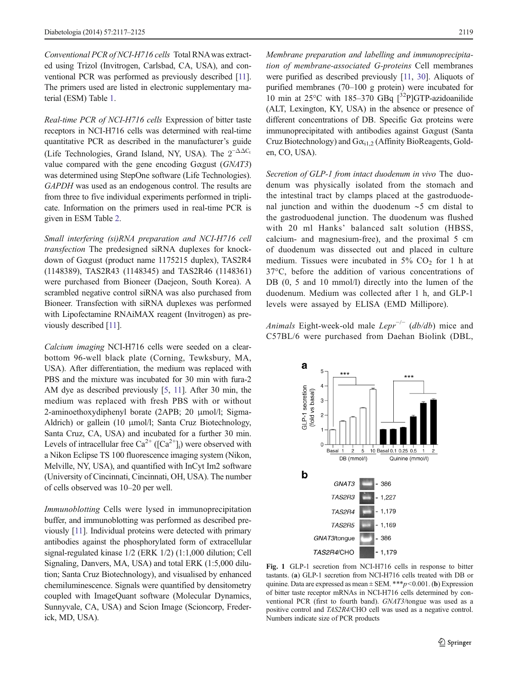<span id="page-2-0"></span>Conventional PCR of NCI-H716 cells Total RNAwas extracted using Trizol (Invitrogen, Carlsbad, CA, USA), and conventional PCR was performed as previously described [\[11\]](#page-7-0). The primers used are listed in electronic supplementary material (ESM) Table 1.

Real-time PCR of NCI-H716 cells Expression of bitter taste receptors in NCI-H716 cells was determined with real-time quantitative PCR as described in the manufacturer's guide (Life Technologies, Grand Island, NY, USA). The  $2^{-\Delta\Delta C_t}$ value compared with the gene encoding Gαgust (GNAT3) was determined using StepOne software (Life Technologies). GAPDH was used as an endogenous control. The results are from three to five individual experiments performed in triplicate. Information on the primers used in real-time PCR is given in ESM Table 2.

Small interfering (si)RNA preparation and NCI-H716 cell transfection The predesigned siRNA duplexes for knockdown of Gαgust (product name 1175215 duplex), TAS2R4 (1148389), TAS2R43 (1148345) and TAS2R46 (1148361) were purchased from Bioneer (Daejeon, South Korea). A scrambled negative control siRNA was also purchased from Bioneer. Transfection with siRNA duplexes was performed with Lipofectamine RNAiMAX reagent (Invitrogen) as previously described [\[11](#page-7-0)].

Calcium imaging NCI-H716 cells were seeded on a clearbottom 96-well black plate (Corning, Tewksbury, MA, USA). After differentiation, the medium was replaced with PBS and the mixture was incubated for 30 min with fura-2 AM dye as described previously [[5,](#page-7-0) [11](#page-7-0)]. After 30 min, the medium was replaced with fresh PBS with or without 2-aminoethoxydiphenyl borate (2APB; 20 μmol/l; Sigma-Aldrich) or gallein (10 μmol/l; Santa Cruz Biotechnology, Santa Cruz, CA, USA) and incubated for a further 30 min. Levels of intracellular free Ca<sup>2+</sup> ( $[Ca^{2+}]$ <sub>i</sub>) were observed with a Nikon Eclipse TS 100 fluorescence imaging system (Nikon, Melville, NY, USA), and quantified with InCyt Im2 software (University of Cincinnati, Cincinnati, OH, USA). The number of cells observed was 10–20 per well.

Immunoblotting Cells were lysed in immunoprecipitation buffer, and immunoblotting was performed as described previously [[11](#page-7-0)]. Individual proteins were detected with primary antibodies against the phosphorylated form of extracellular signal-regulated kinase 1/2 (ERK 1/2) (1:1,000 dilution; Cell Signaling, Danvers, MA, USA) and total ERK (1:5,000 dilution; Santa Cruz Biotechnology), and visualised by enhanced chemiluminescence. Signals were quantified by densitometry coupled with ImageQuant software (Molecular Dynamics, Sunnyvale, CA, USA) and Scion Image (Scioncorp, Frederick, MD, USA).

Membrane preparation and labelling and immunoprecipitation of membrane-associated G-proteins Cell membranes were purified as described previously [[11](#page-7-0), [30](#page-8-0)]. Aliquots of purified membranes (70–100 g protein) were incubated for 10 min at  $25^{\circ}$ C with 185–370 GBq  $\int^{32}P$ ]GTP-azidoanilide (ALT, Lexington, KY, USA) in the absence or presence of different concentrations of DB. Specific  $G\alpha$  proteins were immunoprecipitated with antibodies against Gαgust (Santa Cruz Biotechnology) and  $G\alpha_{i1,2}$  (Affinity BioReagents, Golden, CO, USA).

Secretion of GLP-1 from intact duodenum in vivo The duodenum was physically isolated from the stomach and the intestinal tract by clamps placed at the gastroduodenal junction and within the duodenum ∼5 cm distal to the gastroduodenal junction. The duodenum was flushed with 20 ml Hanks' balanced salt solution (HBSS, calcium- and magnesium-free), and the proximal 5 cm of duodenum was dissected out and placed in culture medium. Tissues were incubated in  $5\%$  CO<sub>2</sub> for 1 h at 37°C, before the addition of various concentrations of DB  $(0, 5, 10, 10, 10, 10)$  directly into the lumen of the duodenum. Medium was collected after 1 h, and GLP-1 levels were assayed by ELISA (EMD Millipore).

Animals Eight-week-old male  $Lepr^{-/-}$  (db/db) mice and C57BL/6 were purchased from Daehan Biolink (DBL,



Fig. 1 GLP-1 secretion from NCI-H716 cells in response to bitter tastants. (a) GLP-1 secretion from NCI-H716 cells treated with DB or quinine. Data are expressed as mean  $\pm$  SEM. \*\*\*p<0.001. (b) Expression of bitter taste receptor mRNAs in NCI-H716 cells determined by conventional PCR (first to fourth band). GNAT3/tongue was used as a positive control and TAS2R4/CHO cell was used as a negative control. Numbers indicate size of PCR products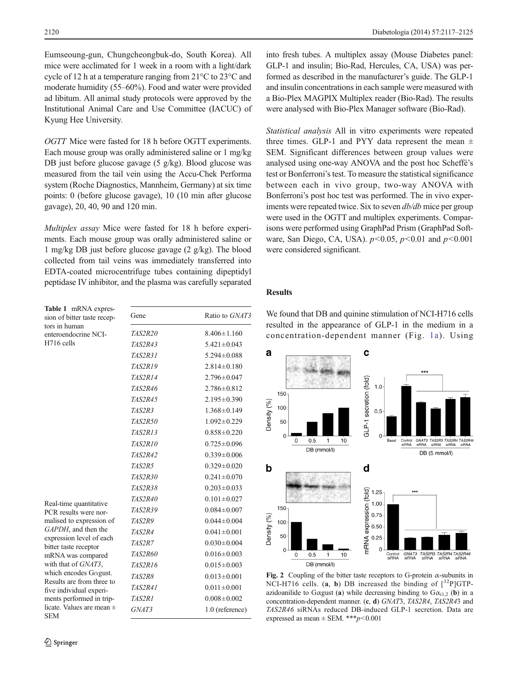<span id="page-3-0"></span>Eumseoung-gun, Chungcheongbuk-do, South Korea). All mice were acclimated for 1 week in a room with a light/dark cycle of 12 h at a temperature ranging from 21°C to 23°C and moderate humidity (55–60%). Food and water were provided ad libitum. All animal study protocols were approved by the Institutional Animal Care and Use Committee (IACUC) of Kyung Hee University.

OGTT Mice were fasted for 18 h before OGTT experiments. Each mouse group was orally administered saline or 1 mg/kg DB just before glucose gavage (5 g/kg). Blood glucose was measured from the tail vein using the Accu-Chek Performa system (Roche Diagnostics, Mannheim, Germany) at six time points: 0 (before glucose gavage), 10 (10 min after glucose gavage), 20, 40, 90 and 120 min.

Multiplex assay Mice were fasted for 18 h before experiments. Each mouse group was orally administered saline or 1 mg/kg DB just before glucose gavage (2 g/kg). The blood collected from tail veins was immediately transferred into EDTA-coated microcentrifuge tubes containing dipeptidyl peptidase IV inhibitor, and the plasma was carefully separated

| Table 1 mRNA expres-<br>sion of bitter taste recep-                                                                                                                                                                                                                                                                                            | Gene           | Ratio to GNAT3    |
|------------------------------------------------------------------------------------------------------------------------------------------------------------------------------------------------------------------------------------------------------------------------------------------------------------------------------------------------|----------------|-------------------|
| tors in human<br>enteroendocrine NCI-<br>H716 cells                                                                                                                                                                                                                                                                                            | <i>TAS2R20</i> | $8.406 \pm 1.160$ |
|                                                                                                                                                                                                                                                                                                                                                | TAS2R43        | $5.421 \pm 0.043$ |
|                                                                                                                                                                                                                                                                                                                                                | TAS2R31        | $5.294 \pm 0.088$ |
|                                                                                                                                                                                                                                                                                                                                                | <b>TAS2R19</b> | $2.814 \pm 0.180$ |
|                                                                                                                                                                                                                                                                                                                                                | <b>TAS2R14</b> | $2.796 \pm 0.047$ |
|                                                                                                                                                                                                                                                                                                                                                | TAS2R46        | $2.786 \pm 0.812$ |
|                                                                                                                                                                                                                                                                                                                                                | <b>TAS2R45</b> | $2.195 \pm 0.390$ |
|                                                                                                                                                                                                                                                                                                                                                | <b>TAS2R3</b>  | $1.368 \pm 0.149$ |
|                                                                                                                                                                                                                                                                                                                                                | TAS2R50        | $1.092 \pm 0.229$ |
|                                                                                                                                                                                                                                                                                                                                                | TAS2R13        | $0.858 \pm 0.220$ |
|                                                                                                                                                                                                                                                                                                                                                | <b>TAS2R10</b> | $0.725 \pm 0.096$ |
|                                                                                                                                                                                                                                                                                                                                                | <b>TAS2R42</b> | $0.339 \pm 0.006$ |
|                                                                                                                                                                                                                                                                                                                                                | TAS2R5         | $0.329 \pm 0.020$ |
|                                                                                                                                                                                                                                                                                                                                                | TAS2R30        | $0.241 \pm 0.070$ |
|                                                                                                                                                                                                                                                                                                                                                | TAS2R38        | $0.203 \pm 0.033$ |
| Real-time quantitative                                                                                                                                                                                                                                                                                                                         | <b>TAS2R40</b> | $0.101 \pm 0.027$ |
| PCR results were nor-<br>malised to expression of<br>GAPDH, and then the<br>expression level of each<br>bitter taste receptor<br>mRNA was compared<br>with that of GNAT3,<br>which encodes G $\alpha$ gust.<br>Results are from three to<br>five individual experi-<br>ments performed in trip-<br>licate. Values are mean $\pm$<br><b>SEM</b> | TAS2R39        | $0.084 \pm 0.007$ |
|                                                                                                                                                                                                                                                                                                                                                | <b>TAS2R9</b>  | $0.044 \pm 0.004$ |
|                                                                                                                                                                                                                                                                                                                                                | <b>TAS2R4</b>  | $0.041 \pm 0.001$ |
|                                                                                                                                                                                                                                                                                                                                                | <b>TAS2R7</b>  | $0.030 \pm 0.004$ |
|                                                                                                                                                                                                                                                                                                                                                | TAS2R60        | $0.016 \pm 0.003$ |
|                                                                                                                                                                                                                                                                                                                                                | TAS2R16        | $0.015 \pm 0.003$ |
|                                                                                                                                                                                                                                                                                                                                                | <b>TAS2R8</b>  | $0.013 \pm 0.001$ |
|                                                                                                                                                                                                                                                                                                                                                | <b>TAS2R41</b> | $0.011 \pm 0.001$ |
|                                                                                                                                                                                                                                                                                                                                                | TAS2R1         | $0.008 \pm 0.002$ |
|                                                                                                                                                                                                                                                                                                                                                | GNAT3          | 1.0 (reference)   |

into fresh tubes. A multiplex assay (Mouse Diabetes panel: GLP-1 and insulin; Bio-Rad, Hercules, CA, USA) was performed as described in the manufacturer's guide. The GLP-1 and insulin concentrations in each sample were measured with a Bio-Plex MAGPIX Multiplex reader (Bio-Rad). The results were analysed with Bio-Plex Manager software (Bio-Rad).

Statistical analysis All in vitro experiments were repeated three times. GLP-1 and PYY data represent the mean  $\pm$ SEM. Significant differences between group values were analysed using one-way ANOVA and the post hoc Scheffé's test or Bonferroni's test. To measure the statistical significance between each in vivo group, two-way ANOVA with Bonferroni's post hoc test was performed. The in vivo experiments were repeated twice. Six to seven db/db mice per group were used in the OGTT and multiplex experiments. Comparisons were performed using GraphPad Prism (GraphPad Software, San Diego, CA, USA).  $p < 0.05$ ,  $p < 0.01$  and  $p < 0.001$ were considered significant.

## Results

We found that DB and quinine stimulation of NCI-H716 cells resulted in the appearance of GLP-1 in the medium in a concentration-dependent manner (Fig. [1a](#page-2-0)). Using



Fig. 2 Coupling of the bitter taste receptors to G-protein  $\alpha$ -subunits in NCI-H716 cells. (a, b) DB increased the binding of  $[^{32}P]GTP$ azidoanilide to Gαgust (a) while decreasing binding to  $G\alpha_{i1,2}$  (b) in a concentration-dependent manner. (c, d) GNAT3, TAS2R4, TAS2R43 and TAS2R46 siRNAs reduced DB-induced GLP-1 secretion. Data are expressed as mean  $\pm$  SEM. \*\*\* $p$  < 0.001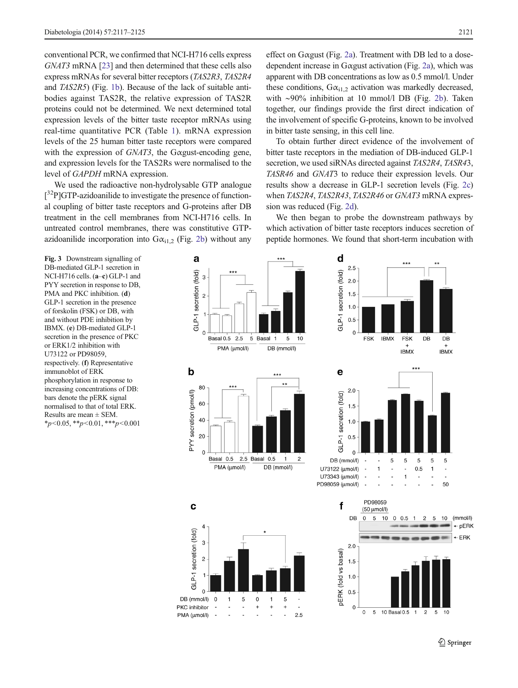<span id="page-4-0"></span>conventional PCR, we confirmed that NCI-H716 cells express GNAT3 mRNA [\[23\]](#page-8-0) and then determined that these cells also express mRNAs for several bitter receptors (TAS2R3, TAS2R4 and TAS2R5) (Fig. [1b](#page-2-0)). Because of the lack of suitable antibodies against TAS2R, the relative expression of TAS2R proteins could not be determined. We next determined total expression levels of the bitter taste receptor mRNAs using real-time quantitative PCR (Table [1](#page-3-0)). mRNA expression levels of the 25 human bitter taste receptors were compared with the expression of GNAT3, the Gαgust-encoding gene, and expression levels for the TAS2Rs were normalised to the level of GAPDH mRNA expression.

We used the radioactive non-hydrolysable GTP analogue [<sup>32</sup>P]GTP-azidoanilide to investigate the presence of functional coupling of bitter taste receptors and G-proteins after DB treatment in the cell membranes from NCI-H716 cells. In untreated control membranes, there was constitutive GTPazidoanilide incorporation into  $G\alpha_{i1,2}$  (Fig. [2b](#page-3-0)) without any

effect on Gαgust (Fig. [2a](#page-3-0)). Treatment with DB led to a dosedependent increase in Gαgust activation (Fig. [2a\)](#page-3-0), which was apparent with DB concentrations as low as 0.5 mmol/l. Under these conditions,  $G\alpha_{i1,2}$  activation was markedly decreased, with ∼90% inhibition at 10 mmol/l DB (Fig. [2b\)](#page-3-0). Taken together, our findings provide the first direct indication of the involvement of specific G-proteins, known to be involved in bitter taste sensing, in this cell line.

To obtain further direct evidence of the involvement of bitter taste receptors in the mediation of DB-induced GLP-1 secretion, we used siRNAs directed against TAS2R4, TASR43, TASR46 and GNAT3 to reduce their expression levels. Our results show a decrease in GLP-1 secretion levels (Fig. [2c](#page-3-0)) when TAS2R4, TAS2R43, TAS2R46 or GNAT3 mRNA expression was reduced (Fig. [2d\)](#page-3-0).

We then began to probe the downstream pathways by which activation of bitter taste receptors induces secretion of peptide hormones. We found that short-term incubation with

Fig. 3 Downstream signalling of DB-mediated GLP-1 secretion in NCI-H716 cells. (a–c) GLP-1 and PYY secretion in response to DB, PMA and PKC inhibition. (d) GLP-1 secretion in the presence of forskolin (FSK) or DB, with and without PDE inhibition by IBMX. (e) DB-mediated GLP-1 secretion in the presence of PKC or ERK1/2 inhibition with U73122 or PD98059, respectively. (f) Representative immunoblot of ERK phosphorylation in response to increasing concentrations of DB: bars denote the pERK signal normalised to that of total ERK. Results are mean  $\pm$  SEM.  $*_{p<0.05,}$   $*_{p<0.01,}$   $*_{p<0.001}$ 

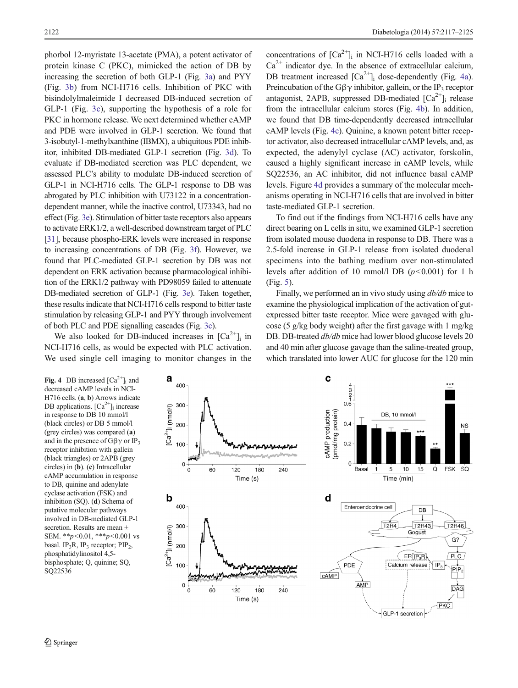phorbol 12-myristate 13-acetate (PMA), a potent activator of protein kinase C (PKC), mimicked the action of DB by increasing the secretion of both GLP-1 (Fig. [3a](#page-4-0)) and PYY (Fig. [3b](#page-4-0)) from NCI-H716 cells. Inhibition of PKC with bisindolylmaleimide I decreased DB-induced secretion of GLP-1 (Fig. [3c](#page-4-0)), supporting the hypothesis of a role for PKC in hormone release. We next determined whether cAMP and PDE were involved in GLP-1 secretion. We found that 3-isobutyl-1-methylxanthine (IBMX), a ubiquitous PDE inhibitor, inhibited DB-mediated GLP-1 secretion (Fig. [3d\)](#page-4-0). To evaluate if DB-mediated secretion was PLC dependent, we assessed PLC's ability to modulate DB-induced secretion of GLP-1 in NCI-H716 cells. The GLP-1 response to DB was abrogated by PLC inhibition with U73122 in a concentrationdependent manner, while the inactive control, U73343, had no effect (Fig. [3e\)](#page-4-0). Stimulation of bitter taste receptors also appears to activate ERK1/2, a well-described downstream target of PLC [\[31\]](#page-8-0), because phospho-ERK levels were increased in response to increasing concentrations of DB (Fig. [3f](#page-4-0)). However, we found that PLC-mediated GLP-1 secretion by DB was not dependent on ERK activation because pharmacological inhibition of the ERK1/2 pathway with PD98059 failed to attenuate DB-mediated secretion of GLP-1 (Fig. [3e\)](#page-4-0). Taken together, these results indicate that NCI-H716 cells respond to bitter taste stimulation by releasing GLP-1 and PYY through involvement of both PLC and PDE signalling cascades (Fig. [3c\)](#page-4-0).

We also looked for DB-induced increases in  $[Ca^{2+}]$ <sub>i</sub> in NCI-H716 cells, as would be expected with PLC activation. We used single cell imaging to monitor changes in the

2122 Diabetologia (2014) 57:2117–2125

concentrations of  $[Ca^{2+}]$ <sub>i</sub> in NCI-H716 cells loaded with a  $Ca<sup>2+</sup>$  indicator dye. In the absence of extracellular calcium, DB treatment increased  $\lceil Ca^{2+} \rceil$  dose-dependently (Fig. 4a). Preincubation of the G $\beta\gamma$  inhibitor, gallein, or the IP<sub>3</sub> receptor antagonist, 2APB, suppressed DB-mediated  $[Ca^{2+}]_i$  release from the intracellular calcium stores (Fig. 4b). In addition, we found that DB time-dependently decreased intracellular cAMP levels (Fig. 4c). Quinine, a known potent bitter receptor activator, also decreased intracellular cAMP levels, and, as expected, the adenylyl cyclase (AC) activator, forskolin, caused a highly significant increase in cAMP levels, while SQ22536, an AC inhibitor, did not influence basal cAMP levels. Figure 4d provides a summary of the molecular mechanisms operating in NCI-H716 cells that are involved in bitter taste-mediated GLP-1 secretion.

To find out if the findings from NCI-H716 cells have any direct bearing on L cells in situ, we examined GLP-1 secretion from isolated mouse duodena in response to DB. There was a 2.5-fold increase in GLP-1 release from isolated duodenal specimens into the bathing medium over non-stimulated levels after addition of 10 mmol/l DB  $(p<0.001)$  for 1 h (Fig. [5](#page-6-0)).

Finally, we performed an in vivo study using db/db mice to examine the physiological implication of the activation of gutexpressed bitter taste receptor. Mice were gavaged with glucose (5 g/kg body weight) after the first gavage with 1 mg/kg DB. DB-treated  $db/db$  mice had lower blood glucose levels 20 and 40 min after glucose gavage than the saline-treated group, which translated into lower AUC for glucose for the 120 min

**Fig. 4** DB increased  $[Ca^{2+}]$ <sub>i</sub> and decreased cAMP levels in NCI-H716 cells. (a, b) Arrows indicate DB applications.  $[Ca^{2+}]$ <sub>i</sub> increase in response to DB 10 mmol/l (black circles) or DB 5 mmol/l (grey circles) was compared (a) and in the presence of  $G\beta\gamma$  or IP<sub>3</sub> receptor inhibition with gallein (black triangles) or 2APB (grey circles) in (b). (c) Intracellular cAMP accumulation in response to DB, quinine and adenylate cyclase activation (FSK) and inhibition (SQ). (d) Schema of putative molecular pathways involved in DB-mediated GLP-1 secretion. Results are mean ± SEM. \*\*p<0.01, \*\*\*p<0.001 vs basal. IP<sub>3</sub>R, IP<sub>3</sub> receptor; PIP<sub>2</sub>, phosphatidylinositol 4,5 bisphosphate; Q, quinine; SQ, SQ22536

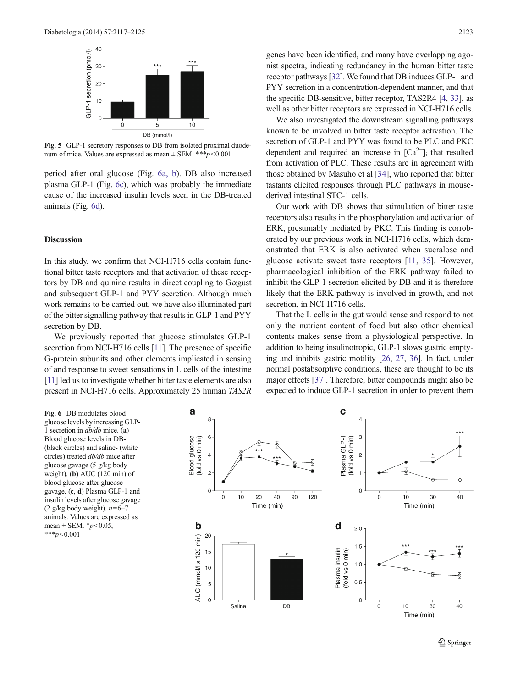<span id="page-6-0"></span>

Fig. 5 GLP-1 secretory responses to DB from isolated proximal duodenum of mice. Values are expressed as mean  $\pm$  SEM. \*\*\*p<0.001

period after oral glucose (Fig. 6a, b). DB also increased plasma GLP-1 (Fig. 6c), which was probably the immediate cause of the increased insulin levels seen in the DB-treated animals (Fig. 6d).

#### **Discussion**

In this study, we confirm that NCI-H716 cells contain functional bitter taste receptors and that activation of these receptors by DB and quinine results in direct coupling to Gαgust and subsequent GLP-1 and PYY secretion. Although much work remains to be carried out, we have also illuminated part of the bitter signalling pathway that results in GLP-1 and PYY secretion by DB.

We previously reported that glucose stimulates GLP-1 secretion from NCI-H716 cells [\[11\]](#page-7-0). The presence of specific G-protein subunits and other elements implicated in sensing of and response to sweet sensations in L cells of the intestine [\[11\]](#page-7-0) led us to investigate whether bitter taste elements are also present in NCI-H716 cells. Approximately 25 human TAS2R genes have been identified, and many have overlapping agonist spectra, indicating redundancy in the human bitter taste receptor pathways [\[32](#page-8-0)]. We found that DB induces GLP-1 and PYY secretion in a concentration-dependent manner, and that the specific DB-sensitive, bitter receptor, TAS2R4 [\[4,](#page-7-0) [33\]](#page-8-0), as well as other bitter receptors are expressed in NCI-H716 cells.

We also investigated the downstream signalling pathways known to be involved in bitter taste receptor activation. The secretion of GLP-1 and PYY was found to be PLC and PKC dependent and required an increase in  $[Ca^{2+}]$ <sub>i</sub> that resulted from activation of PLC. These results are in agreement with those obtained by Masuho et al [\[34](#page-8-0)], who reported that bitter tastants elicited responses through PLC pathways in mousederived intestinal STC-1 cells.

Our work with DB shows that stimulation of bitter taste receptors also results in the phosphorylation and activation of ERK, presumably mediated by PKC. This finding is corroborated by our previous work in NCI-H716 cells, which demonstrated that ERK is also activated when sucralose and glucose activate sweet taste receptors [[11,](#page-7-0) [35\]](#page-8-0). However, pharmacological inhibition of the ERK pathway failed to inhibit the GLP-1 secretion elicited by DB and it is therefore likely that the ERK pathway is involved in growth, and not secretion, in NCI-H716 cells.

That the L cells in the gut would sense and respond to not only the nutrient content of food but also other chemical contents makes sense from a physiological perspective. In addition to being insulinotropic, GLP-1 slows gastric emptying and inhibits gastric motility [\[26,](#page-8-0) [27,](#page-8-0) [36\]](#page-8-0). In fact, under normal postabsorptive conditions, these are thought to be its major effects [[37\]](#page-8-0). Therefore, bitter compounds might also be expected to induce GLP-1 secretion in order to prevent them

Fig. 6 DB modulates blood glucose levels by increasing GLP-1 secretion in db/db mice. (a) Blood glucose levels in DB- (black circles) and saline- (white circles) treated db/db mice after glucose gavage (5 g/kg body weight). (b) AUC (120 min) of blood glucose after glucose gavage. (c, d) Plasma GLP-1 and insulin levels after glucose gavage (2 g/kg body weight).  $n=6-7$ animals. Values are expressed as mean  $\pm$  SEM. \*  $p$  < 0.05,  $***p<0.001$ 

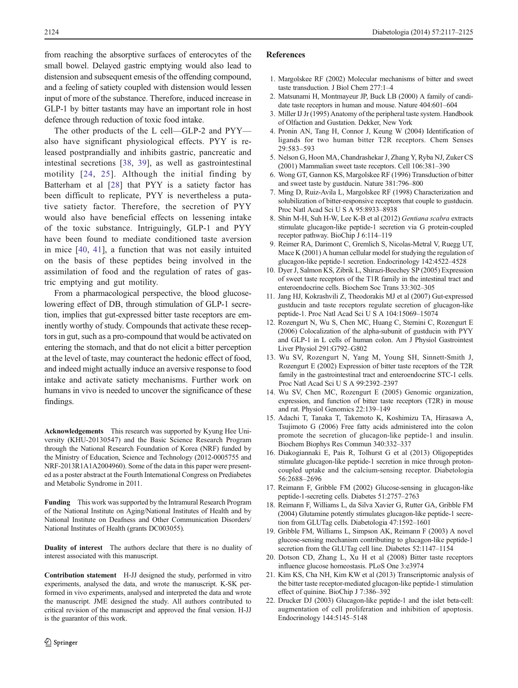<span id="page-7-0"></span>from reaching the absorptive surfaces of enterocytes of the small bowel. Delayed gastric emptying would also lead to distension and subsequent emesis of the offending compound, and a feeling of satiety coupled with distension would lessen input of more of the substance. Therefore, induced increase in GLP-1 by bitter tastants may have an important role in host defence through reduction of toxic food intake.

The other products of the L cell—GLP-2 and PYY also have significant physiological effects. PYY is released postprandially and inhibits gastric, pancreatic and intestinal secretions [\[38](#page-8-0), [39\]](#page-8-0), as well as gastrointestinal motility [[24](#page-8-0), [25](#page-8-0)]. Although the initial finding by Batterham et al [[28\]](#page-8-0) that PYY is a satiety factor has been difficult to replicate, PYY is nevertheless a putative satiety factor. Therefore, the secretion of PYY would also have beneficial effects on lessening intake of the toxic substance. Intriguingly, GLP-1 and PYY have been found to mediate conditioned taste aversion in mice [\[40](#page-8-0), [41](#page-8-0)], a function that was not easily intuited on the basis of these peptides being involved in the assimilation of food and the regulation of rates of gastric emptying and gut motility.

From a pharmacological perspective, the blood glucoselowering effect of DB, through stimulation of GLP-1 secretion, implies that gut-expressed bitter taste receptors are eminently worthy of study. Compounds that activate these receptors in gut, such as a pro-compound that would be activated on entering the stomach, and that do not elicit a bitter perception at the level of taste, may counteract the hedonic effect of food, and indeed might actually induce an aversive response to food intake and activate satiety mechanisms. Further work on humans in vivo is needed to uncover the significance of these findings.

Acknowledgements This research was supported by Kyung Hee University (KHU-20130547) and the Basic Science Research Program through the National Research Foundation of Korea (NRF) funded by the Ministry of Education, Science and Technology (2012-0005755 and NRF-2013R1A1A2004960). Some of the data in this paper were presented as a poster abstract at the Fourth International Congress on Prediabetes and Metabolic Syndrome in 2011.

Funding This work was supported by the Intramural Research Program of the National Institute on Aging/National Institutes of Health and by National Institute on Deafness and Other Communication Disorders/ National Institutes of Health (grants DC003055).

Duality of interest The authors declare that there is no duality of interest associated with this manuscript.

Contribution statement H-JJ designed the study, performed in vitro experiments, analysed the data, and wrote the manuscript. K-SK performed in vivo experiments, analysed and interpreted the data and wrote the manuscript. JME designed the study. All authors contributed to critical revision of the manuscript and approved the final version. H-JJ is the guarantor of this work.

#### References

- 1. Margolskee RF (2002) Molecular mechanisms of bitter and sweet taste transduction. J Biol Chem 277:1–4
- 2. Matsunami H, Montmayeur JP, Buck LB (2000) A family of candidate taste receptors in human and mouse. Nature 404:601–604
- 3. Miller IJ Jr (1995) Anatomy of the peripheral taste system. Handbook of Olfaction and Gustation. Dekker, New York
- 4. Pronin AN, Tang H, Connor J, Keung W (2004) Identification of ligands for two human bitter T2R receptors. Chem Senses 29:583–593
- 5. Nelson G, Hoon MA, Chandrashekar J, Zhang Y, Ryba NJ, Zuker CS (2001) Mammalian sweet taste receptors. Cell 106:381–390
- 6. Wong GT, Gannon KS, Margolskee RF (1996) Transduction of bitter and sweet taste by gustducin. Nature 381:796–800
- 7. Ming D, Ruiz-Avila L, Margolskee RF (1998) Characterization and solubilization of bitter-responsive receptors that couple to gustducin. Proc Natl Acad Sci U S A 95:8933–8938
- 8. Shin M-H, Suh H-W, Lee K-B et al (2012) Gentiana scabra extracts stimulate glucagon-like peptide-1 secretion via G protein-coupled receptor pathway. BioChip J 6:114–119
- 9. Reimer RA, Darimont C, Gremlich S, Nicolas-Metral V, Ruegg UT, Mace K (2001) A human cellular model for studying the regulation of glucagon-like peptide-1 secretion. Endocrinology 142:4522–4528
- 10. Dyer J, Salmon KS, Zibrik L, Shirazi-Beechey SP (2005) Expression of sweet taste receptors of the T1R family in the intestinal tract and enteroendocrine cells. Biochem Soc Trans 33:302–305
- 11. Jang HJ, Kokrashvili Z, Theodorakis MJ et al (2007) Gut-expressed gustducin and taste receptors regulate secretion of glucagon-like peptide-1. Proc Natl Acad Sci U S A 104:15069–15074
- 12. Rozengurt N, Wu S, Chen MC, Huang C, Sternini C, Rozengurt E (2006) Colocalization of the alpha-subunit of gustducin with PYY and GLP-1 in L cells of human colon. Am J Physiol Gastrointest Liver Physiol 291:G792–G802
- 13. Wu SV, Rozengurt N, Yang M, Young SH, Sinnett-Smith J, Rozengurt E (2002) Expression of bitter taste receptors of the T2R family in the gastrointestinal tract and enteroendocrine STC-1 cells. Proc Natl Acad Sci U S A 99:2392–2397
- 14. Wu SV, Chen MC, Rozengurt E (2005) Genomic organization, expression, and function of bitter taste receptors (T2R) in mouse and rat. Physiol Genomics 22:139–149
- 15. Adachi T, Tanaka T, Takemoto K, Koshimizu TA, Hirasawa A, Tsujimoto G (2006) Free fatty acids administered into the colon promote the secretion of glucagon-like peptide-1 and insulin. Biochem Biophys Res Commun 340:332–337
- 16. Diakogiannaki E, Pais R, Tolhurst G et al (2013) Oligopeptides stimulate glucagon-like peptide-1 secretion in mice through protoncoupled uptake and the calcium-sensing receptor. Diabetologia 56:2688–2696
- 17. Reimann F, Gribble FM (2002) Glucose-sensing in glucagon-like peptide-1-secreting cells. Diabetes 51:2757–2763
- 18. Reimann F, Williams L, da Silva Xavier G, Rutter GA, Gribble FM (2004) Glutamine potently stimulates glucagon-like peptide-1 secretion from GLUTag cells. Diabetologia 47:1592–1601
- 19. Gribble FM, Williams L, Simpson AK, Reimann F (2003) A novel glucose-sensing mechanism contributing to glucagon-like peptide-1 secretion from the GLUTag cell line. Diabetes 52:1147–1154
- 20. Dotson CD, Zhang L, Xu H et al (2008) Bitter taste receptors influence glucose homeostasis. PLoS One 3:e3974
- 21. Kim KS, Cha NH, Kim KW et al (2013) Transcriptomic analysis of the bitter taste receptor-mediated glucagon-like peptide-1 stimulation effect of quinine. BioChip J 7:386–392
- 22. Drucker DJ (2003) Glucagon-like peptide-1 and the islet beta-cell: augmentation of cell proliferation and inhibition of apoptosis. Endocrinology 144:5145–5148